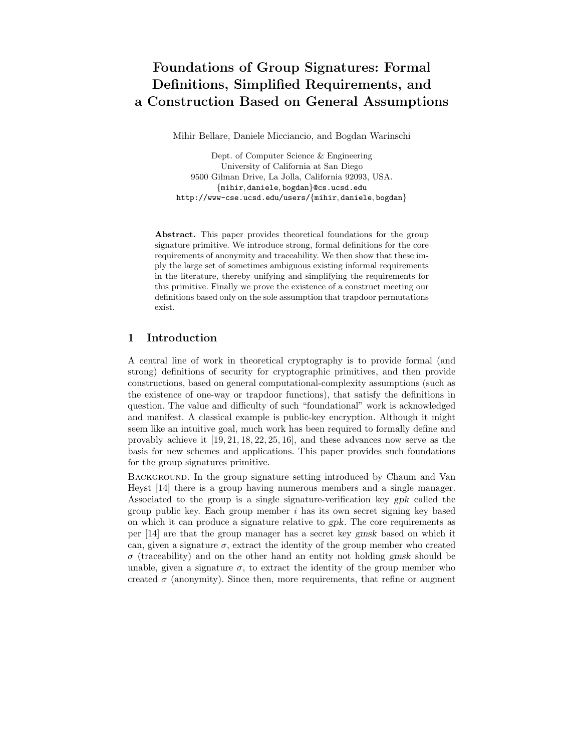# Foundations of Group Signatures: Formal Definitions, Simplified Requirements, and a Construction Based on General Assumptions

Mihir Bellare, Daniele Micciancio, and Bogdan Warinschi

Dept. of Computer Science & Engineering University of California at San Diego 9500 Gilman Drive, La Jolla, California 92093, USA. {mihir, daniele, bogdan}@cs.ucsd.edu http://www-cse.ucsd.edu/users/{mihir, daniele, bogdan}

Abstract. This paper provides theoretical foundations for the group signature primitive. We introduce strong, formal definitions for the core requirements of anonymity and traceability. We then show that these imply the large set of sometimes ambiguous existing informal requirements in the literature, thereby unifying and simplifying the requirements for this primitive. Finally we prove the existence of a construct meeting our definitions based only on the sole assumption that trapdoor permutations exist.

# 1 Introduction

A central line of work in theoretical cryptography is to provide formal (and strong) definitions of security for cryptographic primitives, and then provide constructions, based on general computational-complexity assumptions (such as the existence of one-way or trapdoor functions), that satisfy the definitions in question. The value and difficulty of such "foundational" work is acknowledged and manifest. A classical example is public-key encryption. Although it might seem like an intuitive goal, much work has been required to formally define and provably achieve it [19, 21, 18, 22, 25, 16], and these advances now serve as the basis for new schemes and applications. This paper provides such foundations for the group signatures primitive.

Background. In the group signature setting introduced by Chaum and Van Heyst [14] there is a group having numerous members and a single manager. Associated to the group is a single signature-verification key gpk called the group public key. Each group member  $i$  has its own secret signing key based on which it can produce a signature relative to gpk. The core requirements as per [14] are that the group manager has a secret key gmsk based on which it can, given a signature  $\sigma$ , extract the identity of the group member who created  $\sigma$  (traceability) and on the other hand an entity not holding gmsk should be unable, given a signature  $\sigma$ , to extract the identity of the group member who created  $\sigma$  (anonymity). Since then, more requirements, that refine or augment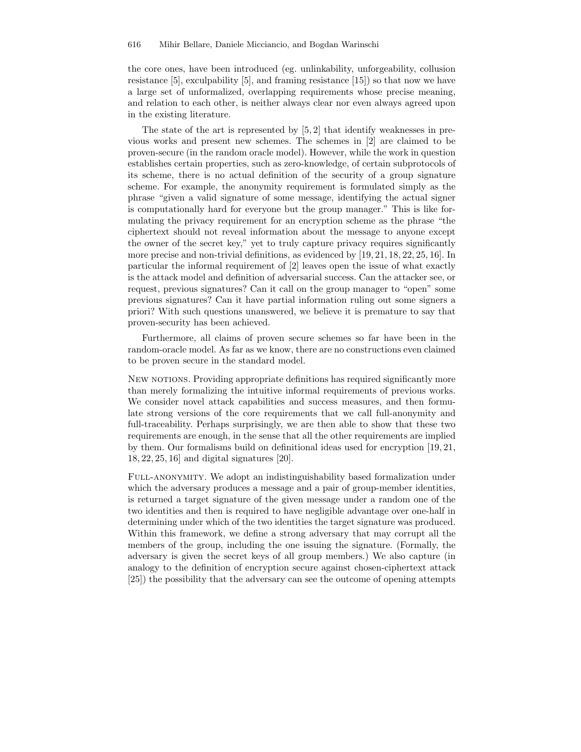the core ones, have been introduced (eg. unlinkability, unforgeability, collusion resistance [5], exculpability [5], and framing resistance [15]) so that now we have a large set of unformalized, overlapping requirements whose precise meaning, and relation to each other, is neither always clear nor even always agreed upon in the existing literature.

The state of the art is represented by [5, 2] that identify weaknesses in previous works and present new schemes. The schemes in [2] are claimed to be proven-secure (in the random oracle model). However, while the work in question establishes certain properties, such as zero-knowledge, of certain subprotocols of its scheme, there is no actual definition of the security of a group signature scheme. For example, the anonymity requirement is formulated simply as the phrase "given a valid signature of some message, identifying the actual signer is computationally hard for everyone but the group manager." This is like formulating the privacy requirement for an encryption scheme as the phrase "the ciphertext should not reveal information about the message to anyone except the owner of the secret key," yet to truly capture privacy requires significantly more precise and non-trivial definitions, as evidenced by [19, 21, 18, 22, 25, 16]. In particular the informal requirement of [2] leaves open the issue of what exactly is the attack model and definition of adversarial success. Can the attacker see, or request, previous signatures? Can it call on the group manager to "open" some previous signatures? Can it have partial information ruling out some signers a priori? With such questions unanswered, we believe it is premature to say that proven-security has been achieved.

Furthermore, all claims of proven secure schemes so far have been in the random-oracle model. As far as we know, there are no constructions even claimed to be proven secure in the standard model.

NEW NOTIONS. Providing appropriate definitions has required significantly more than merely formalizing the intuitive informal requirements of previous works. We consider novel attack capabilities and success measures, and then formulate strong versions of the core requirements that we call full-anonymity and full-traceability. Perhaps surprisingly, we are then able to show that these two requirements are enough, in the sense that all the other requirements are implied by them. Our formalisms build on definitional ideas used for encryption [19, 21, 18, 22, 25, 16] and digital signatures [20].

Full-anonymity. We adopt an indistinguishability based formalization under which the adversary produces a message and a pair of group-member identities, is returned a target signature of the given message under a random one of the two identities and then is required to have negligible advantage over one-half in determining under which of the two identities the target signature was produced. Within this framework, we define a strong adversary that may corrupt all the members of the group, including the one issuing the signature. (Formally, the adversary is given the secret keys of all group members.) We also capture (in analogy to the definition of encryption secure against chosen-ciphertext attack [25]) the possibility that the adversary can see the outcome of opening attempts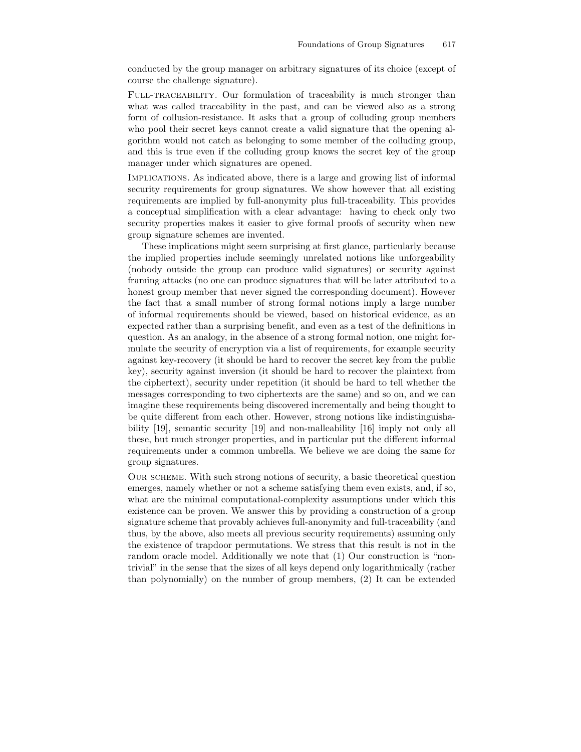conducted by the group manager on arbitrary signatures of its choice (except of course the challenge signature).

Full-traceability. Our formulation of traceability is much stronger than what was called traceability in the past, and can be viewed also as a strong form of collusion-resistance. It asks that a group of colluding group members who pool their secret keys cannot create a valid signature that the opening algorithm would not catch as belonging to some member of the colluding group, and this is true even if the colluding group knows the secret key of the group manager under which signatures are opened.

Implications. As indicated above, there is a large and growing list of informal security requirements for group signatures. We show however that all existing requirements are implied by full-anonymity plus full-traceability. This provides a conceptual simplification with a clear advantage: having to check only two security properties makes it easier to give formal proofs of security when new group signature schemes are invented.

These implications might seem surprising at first glance, particularly because the implied properties include seemingly unrelated notions like unforgeability (nobody outside the group can produce valid signatures) or security against framing attacks (no one can produce signatures that will be later attributed to a honest group member that never signed the corresponding document). However the fact that a small number of strong formal notions imply a large number of informal requirements should be viewed, based on historical evidence, as an expected rather than a surprising benefit, and even as a test of the definitions in question. As an analogy, in the absence of a strong formal notion, one might formulate the security of encryption via a list of requirements, for example security against key-recovery (it should be hard to recover the secret key from the public key), security against inversion (it should be hard to recover the plaintext from the ciphertext), security under repetition (it should be hard to tell whether the messages corresponding to two ciphertexts are the same) and so on, and we can imagine these requirements being discovered incrementally and being thought to be quite different from each other. However, strong notions like indistinguishability [19], semantic security [19] and non-malleability [16] imply not only all these, but much stronger properties, and in particular put the different informal requirements under a common umbrella. We believe we are doing the same for group signatures.

Our scheme. With such strong notions of security, a basic theoretical question emerges, namely whether or not a scheme satisfying them even exists, and, if so, what are the minimal computational-complexity assumptions under which this existence can be proven. We answer this by providing a construction of a group signature scheme that provably achieves full-anonymity and full-traceability (and thus, by the above, also meets all previous security requirements) assuming only the existence of trapdoor permutations. We stress that this result is not in the random oracle model. Additionally we note that (1) Our construction is "nontrivial" in the sense that the sizes of all keys depend only logarithmically (rather than polynomially) on the number of group members, (2) It can be extended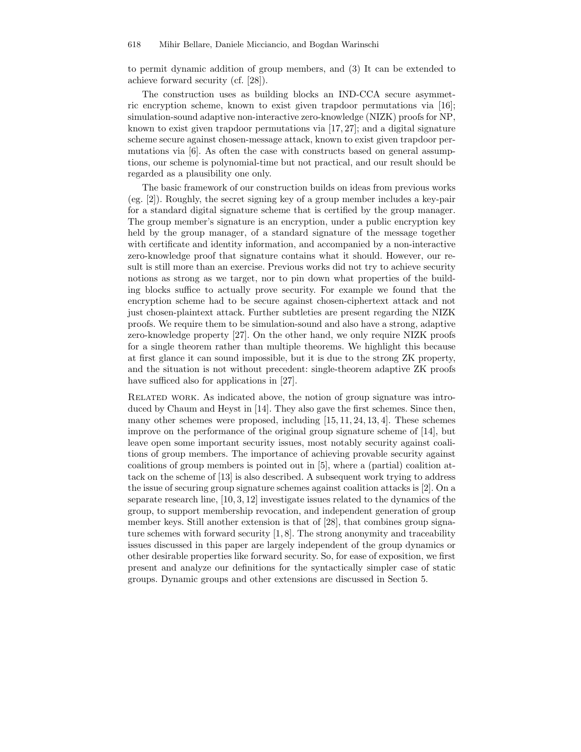to permit dynamic addition of group members, and (3) It can be extended to achieve forward security (cf. [28]).

The construction uses as building blocks an IND-CCA secure asymmetric encryption scheme, known to exist given trapdoor permutations via [16]; simulation-sound adaptive non-interactive zero-knowledge (NIZK) proofs for NP, known to exist given trapdoor permutations via [17, 27]; and a digital signature scheme secure against chosen-message attack, known to exist given trapdoor permutations via [6]. As often the case with constructs based on general assumptions, our scheme is polynomial-time but not practical, and our result should be regarded as a plausibility one only.

The basic framework of our construction builds on ideas from previous works (eg. [2]). Roughly, the secret signing key of a group member includes a key-pair for a standard digital signature scheme that is certified by the group manager. The group member's signature is an encryption, under a public encryption key held by the group manager, of a standard signature of the message together with certificate and identity information, and accompanied by a non-interactive zero-knowledge proof that signature contains what it should. However, our result is still more than an exercise. Previous works did not try to achieve security notions as strong as we target, nor to pin down what properties of the building blocks suffice to actually prove security. For example we found that the encryption scheme had to be secure against chosen-ciphertext attack and not just chosen-plaintext attack. Further subtleties are present regarding the NIZK proofs. We require them to be simulation-sound and also have a strong, adaptive zero-knowledge property [27]. On the other hand, we only require NIZK proofs for a single theorem rather than multiple theorems. We highlight this because at first glance it can sound impossible, but it is due to the strong ZK property, and the situation is not without precedent: single-theorem adaptive ZK proofs have sufficed also for applications in [27].

Related work. As indicated above, the notion of group signature was introduced by Chaum and Heyst in [14]. They also gave the first schemes. Since then, many other schemes were proposed, including [15, 11, 24, 13, 4]. These schemes improve on the performance of the original group signature scheme of [14], but leave open some important security issues, most notably security against coalitions of group members. The importance of achieving provable security against coalitions of group members is pointed out in [5], where a (partial) coalition attack on the scheme of [13] is also described. A subsequent work trying to address the issue of securing group signature schemes against coalition attacks is [2]. On a separate research line, [10, 3, 12] investigate issues related to the dynamics of the group, to support membership revocation, and independent generation of group member keys. Still another extension is that of [28], that combines group signature schemes with forward security [1, 8]. The strong anonymity and traceability issues discussed in this paper are largely independent of the group dynamics or other desirable properties like forward security. So, for ease of exposition, we first present and analyze our definitions for the syntactically simpler case of static groups. Dynamic groups and other extensions are discussed in Section 5.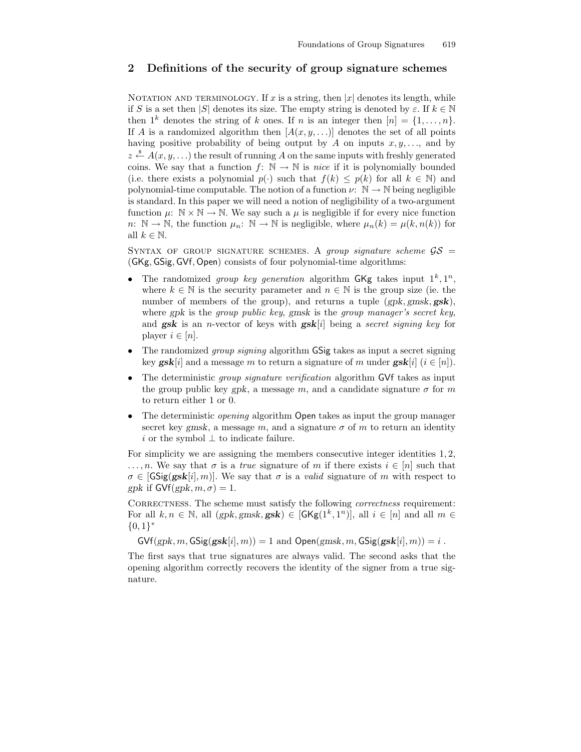#### 2 Definitions of the security of group signature schemes

NOTATION AND TERMINOLOGY. If x is a string, then |x| denotes its length, while if S is a set then |S| denotes its size. The empty string is denoted by  $\varepsilon$ . If  $k \in \mathbb{N}$ then  $1^k$  denotes the string of k ones. If n is an integer then  $[n] = \{1, \ldots, n\}.$ If A is a randomized algorithm then  $[A(x, y, \ldots)]$  denotes the set of all points having positive probability of being output by A on inputs  $x, y, \ldots$ , and by  $z \stackrel{\ast}{\leftarrow} A(x, y, \ldots)$  the result of running A on the same inputs with freshly generated coins. We say that a function  $f: \mathbb{N} \to \mathbb{N}$  is nice if it is polynomially bounded (i.e. there exists a polynomial  $p(\cdot)$  such that  $f(k) \leq p(k)$  for all  $k \in \mathbb{N}$ ) and polynomial-time computable. The notion of a function  $\nu: \mathbb{N} \to \mathbb{N}$  being negligible is standard. In this paper we will need a notion of negligibility of a two-argument function  $\mu: \mathbb{N} \times \mathbb{N} \to \mathbb{N}$ . We say such a  $\mu$  is negligible if for every nice function n:  $\mathbb{N} \to \mathbb{N}$ , the function  $\mu_n: \mathbb{N} \to \mathbb{N}$  is negligible, where  $\mu_n(k) = \mu(k, n(k))$  for all  $k \in \mathbb{N}$ .

SYNTAX OF GROUP SIGNATURE SCHEMES. A group signature scheme  $GS =$ (GKg,GSig,GVf, Open) consists of four polynomial-time algorithms:

- The randomized group key generation algorithm  $GKg$  takes input  $1^k, 1^n$ , where  $k \in \mathbb{N}$  is the security parameter and  $n \in \mathbb{N}$  is the group size (ie. the number of members of the group), and returns a tuple  $(gpk, gmsk, gsk)$ , where gpk is the group public key, gmsk is the group manager's secret key, and  $g$ sk is an *n*-vector of keys with  $g$ sk[i] being a *secret signing key* for player  $i \in [n]$ .
- The randomized *group signing* algorithm GSig takes as input a secret signing key  $\mathbf{g} s \mathbf{k}[i]$  and a message m to return a signature of m under  $\mathbf{g} s \mathbf{k}[i]$  ( $i \in [n]$ ).
- The deterministic *group signature verification* algorithm GVf takes as input the group public key gpk, a message m, and a candidate signature  $\sigma$  for m to return either 1 or 0.
- The deterministic *opening* algorithm Open takes as input the group manager secret key gmsk, a message m, and a signature  $\sigma$  of m to return an identity i or the symbol  $\perp$  to indicate failure.

For simplicity we are assigning the members consecutive integer identities 1, 2,  $\ldots, n$ . We say that  $\sigma$  is a *true* signature of m if there exists  $i \in [n]$  such that  $\sigma \in [\mathsf{GSig}(\mathbf{gsk}[i], m)]$ . We say that  $\sigma$  is a valid signature of m with respect to gpk if  $\text{GVf}(gpk, m, \sigma) = 1$ .

CORRECTNESS. The scheme must satisfy the following *correctness* requirement: For all  $k, n \in \mathbb{N}$ , all  $(gpk, gmsk, gsk) \in [GKg(1^k, 1^n)]$ , all  $i \in [n]$  and all  $m \in$  ${0,1}^*$ 

 $\mathsf{GVf}(gpk, m, \mathsf{GSig}(gsk[i], m)) = 1$  and  $\mathsf{Open}(gmsk, m, \mathsf{GSig}(gsk[i], m)) = i$ .

The first says that true signatures are always valid. The second asks that the opening algorithm correctly recovers the identity of the signer from a true signature.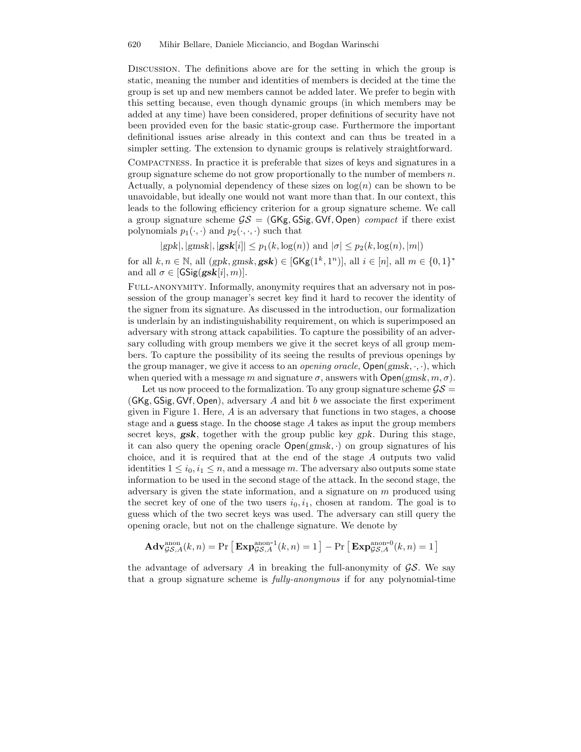Discussion. The definitions above are for the setting in which the group is static, meaning the number and identities of members is decided at the time the group is set up and new members cannot be added later. We prefer to begin with this setting because, even though dynamic groups (in which members may be added at any time) have been considered, proper definitions of security have not been provided even for the basic static-group case. Furthermore the important definitional issues arise already in this context and can thus be treated in a simpler setting. The extension to dynamic groups is relatively straightforward.

Compactness. In practice it is preferable that sizes of keys and signatures in a group signature scheme do not grow proportionally to the number of members  $n$ . Actually, a polynomial dependency of these sizes on  $log(n)$  can be shown to be unavoidable, but ideally one would not want more than that. In our context, this leads to the following efficiency criterion for a group signature scheme. We call a group signature scheme  $\mathcal{GS} = (\mathsf{GKg}, \mathsf{GSig}, \mathsf{GVf}, \mathsf{Open})$  compact if there exist polynomials  $p_1(\cdot, \cdot)$  and  $p_2(\cdot, \cdot, \cdot)$  such that

 $|gpk|, |gmsk|, |gsk[i]| \leq p_1(k, \log(n))$  and  $|\sigma| \leq p_2(k, \log(n), |m|)$ 

for all  $k, n \in \mathbb{N}$ , all  $(gpk, gmsk, gsk) \in [GKg(1^k, 1^n)],$  all  $i \in [n]$ , all  $m \in \{0, 1\}^*$ and all  $\sigma \in [GSig(gsk[i], m)]$ .

FULL-ANONYMITY. Informally, anonymity requires that an adversary not in possession of the group manager's secret key find it hard to recover the identity of the signer from its signature. As discussed in the introduction, our formalization is underlain by an indistinguishability requirement, on which is superimposed an adversary with strong attack capabilities. To capture the possibility of an adversary colluding with group members we give it the secret keys of all group members. To capture the possibility of its seeing the results of previous openings by the group manager, we give it access to an *opening oracle*,  $Open(gmsk, \cdot, \cdot)$ , which when queried with a message m and signature  $\sigma$ , answers with Open(gmsk, m,  $\sigma$ ).

Let us now proceed to the formalization. To any group signature scheme  $\mathcal{GS} =$  $(GKg, GSig, GVf, Open)$ , adversary A and bit b we associate the first experiment given in Figure 1. Here, A is an adversary that functions in two stages, a choose stage and a guess stage. In the choose stage  $A$  takes as input the group members secret keys,  $g$ sk, together with the group public key  $g$ pk. During this stage, it can also query the opening oracle  $Open(gmsk, \cdot)$  on group signatures of his choice, and it is required that at the end of the stage A outputs two valid identities  $1 \leq i_0, i_1 \leq n$ , and a message m. The adversary also outputs some state information to be used in the second stage of the attack. In the second stage, the adversary is given the state information, and a signature on m produced using the secret key of one of the two users  $i_0, i_1$ , chosen at random. The goal is to guess which of the two secret keys was used. The adversary can still query the opening oracle, but not on the challenge signature. We denote by

$$
\mathbf{Adv}_{\mathcal{GS},A}^{\text{anon}}(k,n) = \Pr\left[\mathbf{Exp}_{\mathcal{GS},A}^{\text{anon-1}}(k,n) = 1\right] - \Pr\left[\mathbf{Exp}_{\mathcal{GS},A}^{\text{anon-0}}(k,n) = 1\right]
$$

the advantage of adversary A in breaking the full-anonymity of  $\mathcal{GS}$ . We say that a group signature scheme is fully-anonymous if for any polynomial-time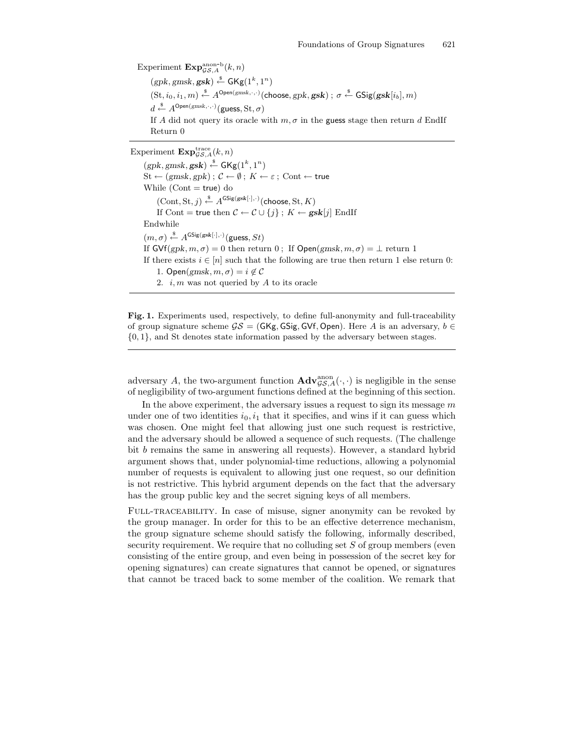Experiment  $\text{Exp}_{\mathcal{GS},A}^{\text{anon-b}}(k,n)$  $(gpk, gmsk, gsk) \stackrel{\$}{\leftarrow} GKg(1^k, 1^n)$  $(\mathrm{St}, i_0, i_1, m) \overset{\hspace{0.1em}\mathsf{\scriptscriptstyle\$}}{\leftarrow} A^{\mathsf{Open}(\textit{gmsk}, \cdot, \cdot)}(\mathsf{choose}, \mathsf{gpk}, \mathsf{gsk}) \ ; \ \sigma \overset{\hspace{0.1em}\mathsf{\scriptscriptstyle\$}}{\leftarrow} \mathsf{GSig}(\mathsf{gsk}[i_b], m)$  $d \stackrel{\$}{\leftarrow} A^{\mathsf{Open}(\textit{gmsk}, \cdot, \cdot)}(\textit{guess}, \textit{St}, \sigma)$ If A did not query its oracle with  $m, \sigma$  in the guess stage then return d EndIf Return 0

Experiment  $\mathbf{Exp}_{\mathcal{GS},A}^{\text{trace}}(k,n)$  $(gpk, gmsk, gsk) \stackrel{\$}{\leftarrow} GKg(1^k, 1^n)$  $\mathrm{St} \leftarrow (\text{gmsk}, \text{gpk})$ ;  $C \leftarrow \emptyset$ ;  $K \leftarrow \varepsilon$ ; Cont  $\leftarrow$  true While  $(Cont = true)$  do  $(\mathrm{Cont}, \mathrm{St}, j) \overset{\$}{\leftarrow} A^{\mathsf{GSig}(\mathbf{gsk}[\cdot], \cdot)}(\mathsf{choose}, \mathrm{St}, K)$ If Cont = true then  $C \leftarrow C \cup \{j\}$ ;  $K \leftarrow \textbf{gsk}[j]$  EndIf Endwhile  $(m, \sigma) \stackrel{\$}{\leftarrow} A^{\text{GSig(gsk}[\cdot], \cdot)}(\text{guess}, St)$ If  $GVf(gpk, m, \sigma) = 0$  then return 0; If  $Open(gmsk, m, \sigma) = \bot$  return 1 If there exists  $i \in [n]$  such that the following are true then return 1 else return 0: 1. Open $(gmsk, m, \sigma) = i \notin C$ 2.  $i, m$  was not queried by A to its oracle

Fig. 1. Experiments used, respectively, to define full-anonymity and full-traceability of group signature scheme  $\mathcal{GS} = (\mathsf{GKg}, \mathsf{GSig}, \mathsf{GVf}, \mathsf{Open})$ . Here A is an adversary,  $b \in \mathcal{G}$ {0, 1}, and St denotes state information passed by the adversary between stages.

adversary A, the two-argument function  $\mathbf{Adv}_{\mathcal{GS},A}^{\text{anon}}(\cdot,\cdot)$  is negligible in the sense of negligibility of two-argument functions defined at the beginning of this section.

In the above experiment, the adversary issues a request to sign its message  $m$ under one of two identities  $i_0, i_1$  that it specifies, and wins if it can guess which was chosen. One might feel that allowing just one such request is restrictive, and the adversary should be allowed a sequence of such requests. (The challenge bit b remains the same in answering all requests). However, a standard hybrid argument shows that, under polynomial-time reductions, allowing a polynomial number of requests is equivalent to allowing just one request, so our definition is not restrictive. This hybrid argument depends on the fact that the adversary has the group public key and the secret signing keys of all members.

Full-traceability. In case of misuse, signer anonymity can be revoked by the group manager. In order for this to be an effective deterrence mechanism, the group signature scheme should satisfy the following, informally described, security requirement. We require that no colluding set  $S$  of group members (even consisting of the entire group, and even being in possession of the secret key for opening signatures) can create signatures that cannot be opened, or signatures that cannot be traced back to some member of the coalition. We remark that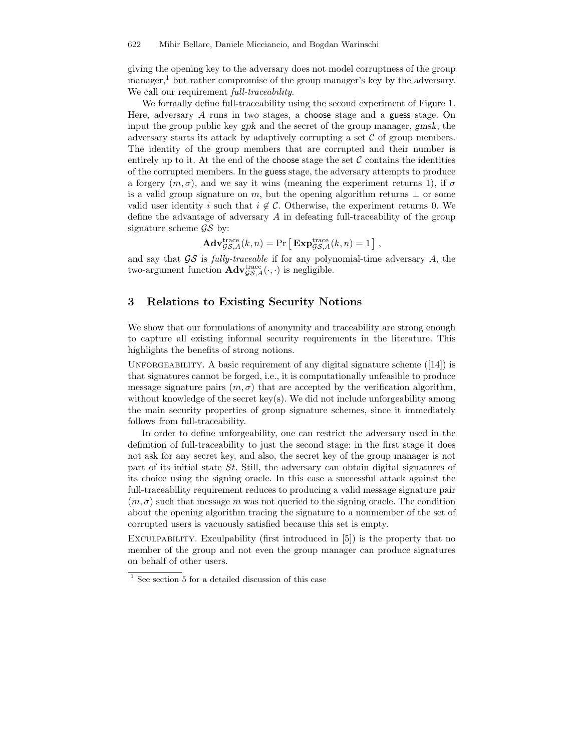giving the opening key to the adversary does not model corruptness of the group manager,<sup>1</sup> but rather compromise of the group manager's key by the adversary. We call our requirement *full-traceability*.

We formally define full-traceability using the second experiment of Figure 1. Here, adversary A runs in two stages, a choose stage and a guess stage. On input the group public key gpk and the secret of the group manager, gmsk, the adversary starts its attack by adaptively corrupting a set  $\mathcal C$  of group members. The identity of the group members that are corrupted and their number is entirely up to it. At the end of the choose stage the set  $\mathcal C$  contains the identities of the corrupted members. In the guess stage, the adversary attempts to produce a forgery  $(m, \sigma)$ , and we say it wins (meaning the experiment returns 1), if  $\sigma$ is a valid group signature on m, but the opening algorithm returns  $\perp$  or some valid user identity i such that  $i \notin \mathcal{C}$ . Otherwise, the experiment returns 0. We define the advantage of adversary A in defeating full-traceability of the group signature scheme  $\mathcal{GS}$  by:

$$
\mathbf{Adv}_{\mathcal{GS},A}^{\text{trace}}(k,n) = \Pr\left[\mathbf{Exp}_{\mathcal{GS},A}^{\text{trace}}(k,n) = 1\right],
$$

and say that  $\mathcal{G}\mathcal{S}$  is fully-traceable if for any polynomial-time adversary A, the two-argument function  $\mathbf{Adv}_{\mathcal{GS},A}^{\text{trace}}(\cdot,\cdot)$  is negligible.

# 3 Relations to Existing Security Notions

We show that our formulations of anonymity and traceability are strong enough to capture all existing informal security requirements in the literature. This highlights the benefits of strong notions.

UNFORGEABILITY. A basic requirement of any digital signature scheme  $([14])$  is that signatures cannot be forged, i.e., it is computationally unfeasible to produce message signature pairs  $(m, \sigma)$  that are accepted by the verification algorithm, without knowledge of the secret key(s). We did not include unforgeability among the main security properties of group signature schemes, since it immediately follows from full-traceability.

In order to define unforgeability, one can restrict the adversary used in the definition of full-traceability to just the second stage: in the first stage it does not ask for any secret key, and also, the secret key of the group manager is not part of its initial state St. Still, the adversary can obtain digital signatures of its choice using the signing oracle. In this case a successful attack against the full-traceability requirement reduces to producing a valid message signature pair  $(m, \sigma)$  such that message m was not queried to the signing oracle. The condition about the opening algorithm tracing the signature to a nonmember of the set of corrupted users is vacuously satisfied because this set is empty.

Exculpability. Exculpability (first introduced in [5]) is the property that no member of the group and not even the group manager can produce signatures on behalf of other users.

 $1$  See section 5 for a detailed discussion of this case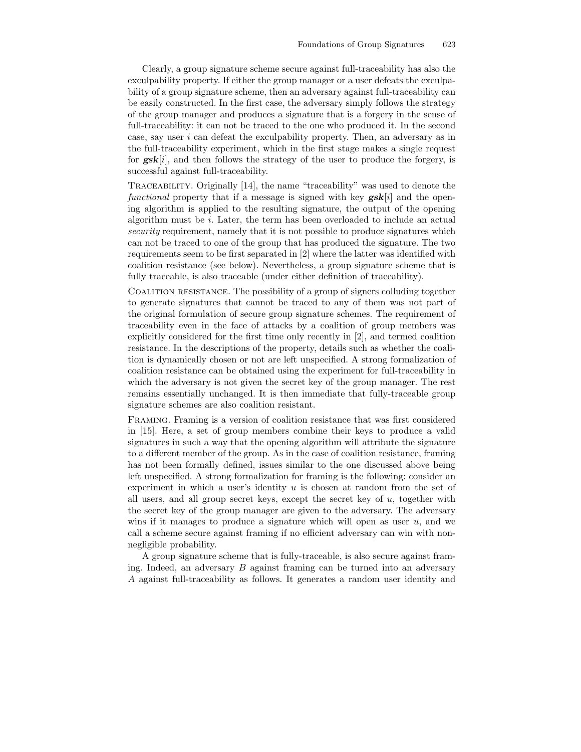Clearly, a group signature scheme secure against full-traceability has also the exculpability property. If either the group manager or a user defeats the exculpability of a group signature scheme, then an adversary against full-traceability can be easily constructed. In the first case, the adversary simply follows the strategy of the group manager and produces a signature that is a forgery in the sense of full-traceability: it can not be traced to the one who produced it. In the second case, say user i can defeat the exculpability property. Then, an adversary as in the full-traceability experiment, which in the first stage makes a single request for  $g_{\mathbf{S}}\mathbf{k}[i]$ , and then follows the strategy of the user to produce the forgery, is successful against full-traceability.

Traceability. Originally [14], the name "traceability" was used to denote the functional property that if a message is signed with key  $\mathbf{g} s\mathbf{k}[i]$  and the opening algorithm is applied to the resulting signature, the output of the opening algorithm must be i. Later, the term has been overloaded to include an actual security requirement, namely that it is not possible to produce signatures which can not be traced to one of the group that has produced the signature. The two requirements seem to be first separated in [2] where the latter was identified with coalition resistance (see below). Nevertheless, a group signature scheme that is fully traceable, is also traceable (under either definition of traceability).

Coalition resistance. The possibility of a group of signers colluding together to generate signatures that cannot be traced to any of them was not part of the original formulation of secure group signature schemes. The requirement of traceability even in the face of attacks by a coalition of group members was explicitly considered for the first time only recently in [2], and termed coalition resistance. In the descriptions of the property, details such as whether the coalition is dynamically chosen or not are left unspecified. A strong formalization of coalition resistance can be obtained using the experiment for full-traceability in which the adversary is not given the secret key of the group manager. The rest remains essentially unchanged. It is then immediate that fully-traceable group signature schemes are also coalition resistant.

Framing. Framing is a version of coalition resistance that was first considered in [15]. Here, a set of group members combine their keys to produce a valid signatures in such a way that the opening algorithm will attribute the signature to a different member of the group. As in the case of coalition resistance, framing has not been formally defined, issues similar to the one discussed above being left unspecified. A strong formalization for framing is the following: consider an experiment in which a user's identity  $u$  is chosen at random from the set of all users, and all group secret keys, except the secret key of  $u$ , together with the secret key of the group manager are given to the adversary. The adversary wins if it manages to produce a signature which will open as user  $u$ , and we call a scheme secure against framing if no efficient adversary can win with nonnegligible probability.

A group signature scheme that is fully-traceable, is also secure against framing. Indeed, an adversary  $B$  against framing can be turned into an adversary A against full-traceability as follows. It generates a random user identity and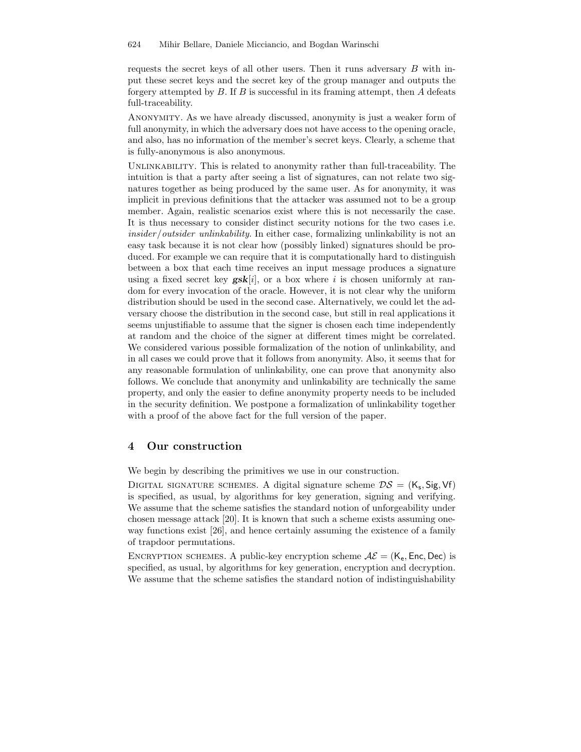requests the secret keys of all other users. Then it runs adversary  $B$  with input these secret keys and the secret key of the group manager and outputs the forgery attempted by  $B$ . If  $B$  is successful in its framing attempt, then  $A$  defeats full-traceability.

Anonymity. As we have already discussed, anonymity is just a weaker form of full anonymity, in which the adversary does not have access to the opening oracle, and also, has no information of the member's secret keys. Clearly, a scheme that is fully-anonymous is also anonymous.

Unlinkability. This is related to anonymity rather than full-traceability. The intuition is that a party after seeing a list of signatures, can not relate two signatures together as being produced by the same user. As for anonymity, it was implicit in previous definitions that the attacker was assumed not to be a group member. Again, realistic scenarios exist where this is not necessarily the case. It is thus necessary to consider distinct security notions for the two cases i.e. insider/outsider unlinkability. In either case, formalizing unlinkability is not an easy task because it is not clear how (possibly linked) signatures should be produced. For example we can require that it is computationally hard to distinguish between a box that each time receives an input message produces a signature using a fixed secret key  $\mathbf{g} s\mathbf{k}[i]$ , or a box where i is chosen uniformly at random for every invocation of the oracle. However, it is not clear why the uniform distribution should be used in the second case. Alternatively, we could let the adversary choose the distribution in the second case, but still in real applications it seems unjustifiable to assume that the signer is chosen each time independently at random and the choice of the signer at different times might be correlated. We considered various possible formalization of the notion of unlinkability, and in all cases we could prove that it follows from anonymity. Also, it seems that for any reasonable formulation of unlinkability, one can prove that anonymity also follows. We conclude that anonymity and unlinkability are technically the same property, and only the easier to define anonymity property needs to be included in the security definition. We postpone a formalization of unlinkability together with a proof of the above fact for the full version of the paper.

# 4 Our construction

We begin by describing the primitives we use in our construction.

DIGITAL SIGNATURE SCHEMES. A digital signature scheme  $DS = (K_s, Sig, Vf)$ is specified, as usual, by algorithms for key generation, signing and verifying. We assume that the scheme satisfies the standard notion of unforgeability under chosen message attack [20]. It is known that such a scheme exists assuming oneway functions exist [26], and hence certainly assuming the existence of a family of trapdoor permutations.

ENCRYPTION SCHEMES. A public-key encryption scheme  $A\mathcal{E} = (K_e, Enc, Dec)$  is specified, as usual, by algorithms for key generation, encryption and decryption. We assume that the scheme satisfies the standard notion of indistinguishability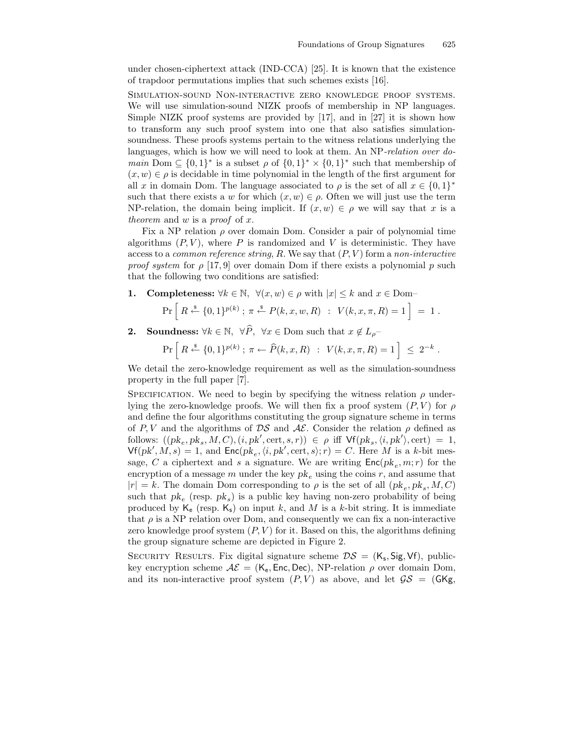under chosen-ciphertext attack (IND-CCA) [25]. It is known that the existence of trapdoor permutations implies that such schemes exists [16].

Simulation-sound Non-interactive zero knowledge proof systems. We will use simulation-sound NIZK proofs of membership in NP languages. Simple NIZK proof systems are provided by  $[17]$ , and in  $[27]$  it is shown how to transform any such proof system into one that also satisfies simulationsoundness. These proofs systems pertain to the witness relations underlying the languages, which is how we will need to look at them. An NP-relation over domain Dom  $\subseteq \{0,1\}^*$  is a subset  $\rho$  of  $\{0,1\}^* \times \{0,1\}^*$  such that membership of  $(x, w) \in \rho$  is decidable in time polynomial in the length of the first argument for all x in domain Dom. The language associated to  $\rho$  is the set of all  $x \in \{0,1\}^*$ such that there exists a w for which  $(x, w) \in \rho$ . Often we will just use the term NP-relation, the domain being implicit. If  $(x, w) \in \rho$  we will say that x is a theorem and  $w$  is a proof of  $x$ .

Fix a NP relation  $\rho$  over domain Dom. Consider a pair of polynomial time algorithms  $(P, V)$ , where P is randomized and V is deterministic. They have access to a *common reference string*,  $R$ . We say that  $(P, V)$  form a *non-interactive* proof system for  $\rho$  [17,9] over domain Dom if there exists a polynomial p such that the following two conditions are satisfied:

1. Completeness:  $\forall k \in \mathbb{N}, \forall (x, w) \in \rho \text{ with } |x| \leq k \text{ and } x \in \text{Dom}-1$ 

$$
\Pr\left[\;R \stackrel{\hspace{0.1em}\mathsf{\scriptscriptstyle\$}}{\leftarrow} \{0,1\}^{p(k)}\;;\; \pi \stackrel{\hspace{0.1em}\mathsf{\scriptscriptstyle\$}}{\leftarrow} P(k,x,w,R)\;\;:\;\;V(k,x,\pi,R)=1\;\right]\;=\;1\;.
$$

2. Soundness:  $\forall k \in \mathbb{N}, \forall \widehat{P}, \forall x \in \text{Dom such that } x \notin L_{\rho}$ –

$$
\Pr\left[\,R \stackrel{\hspace{0.1em}\mathsf{\scriptscriptstyle\$}}{\leftarrow} \{0,1\}^{p(k)}\;;\;\pi \leftarrow \widehat{P}(k,x,R)\;:\;V(k,x,\pi,R) = 1\,\right] \;\leq\; 2^{-k}\;.
$$

We detail the zero-knowledge requirement as well as the simulation-soundness property in the full paper [7].

SPECIFICATION. We need to begin by specifying the witness relation  $\rho$  underlying the zero-knowledge proofs. We will then fix a proof system  $(P, V)$  for  $\rho$ and define the four algorithms constituting the group signature scheme in terms of P, V and the algorithms of  $DS$  and  $AE$ . Consider the relation  $\rho$  defined as follows:  $((pk_e, pk_s, M, C), (i, pk', cert, s, r)) \in \rho \text{ iff } \mathsf{Vf}(pk_s, \langle i, pk', cert \rangle = 1,$  $\mathsf{Vf}(pk', \hat{M}, s) = 1$ , and  $\mathsf{Enc}(pk_e, \langle i, pk', \text{cert}, s \rangle; r) = C$ . Here  $\hat{M}$  is a k-bit message, C a ciphertext and s a signature. We are writing  $Enc(pk_e, m; r)$  for the encryption of a message m under the key  $pk_e$  using the coins r, and assume that  $|r| = k$ . The domain Dom corresponding to  $\rho$  is the set of all  $(pk_e, pk_s, M, C)$ such that  $pk_e$  (resp.  $pk_s$ ) is a public key having non-zero probability of being produced by  $\mathsf{K}_{e}$  (resp.  $\mathsf{K}_{s}$ ) on input k, and M is a k-bit string. It is immediate that  $\rho$  is a NP relation over Dom, and consequently we can fix a non-interactive zero knowledge proof system  $(P, V)$  for it. Based on this, the algorithms defining the group signature scheme are depicted in Figure 2.

SECURITY RESULTS. Fix digital signature scheme  $DS = (K_s, Sig, Vf)$ , publickey encryption scheme  $A\mathcal{E} = (K_e, Enc, Dec)$ , NP-relation  $\rho$  over domain Dom, and its non-interactive proof system  $(P, V)$  as above, and let  $\mathcal{GS} = (\mathsf{GKg}, \mathsf{GKg})$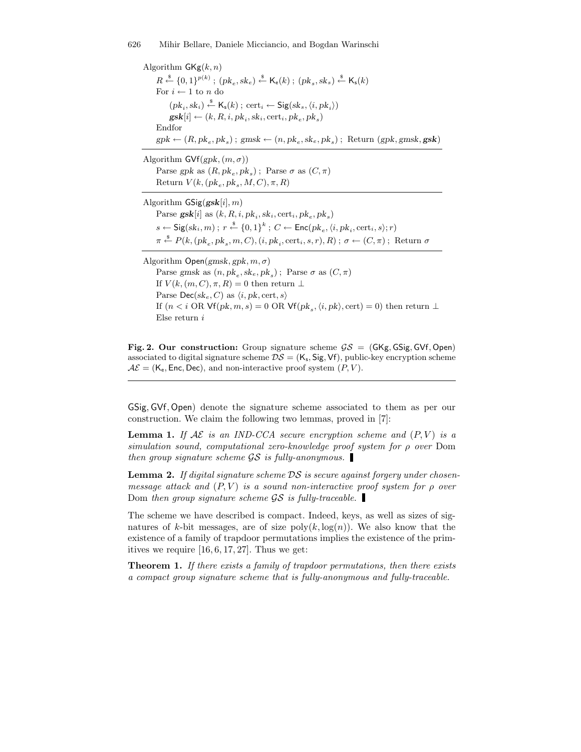Algorithm  $GKg(k, n)$  $R \stackrel{\$}{\leftarrow} \{0,1\}^{p(k)}$ ;  $(pk_e, sk_e) \stackrel{\$}{\leftarrow} \mathsf{K}_e(k)$ ;  $(pk_s, sk_s) \stackrel{\$}{\leftarrow} \mathsf{K}_s(k)$ For  $i \leftarrow 1$  to n do  $(pk_i, sk_i) \stackrel{\$}{\leftarrow} K_s(k); cert_i \leftarrow Sig(sk_s, \langle i, pk_i \rangle)$  $\mathbf{g}$ s $\mathbf{k}[i] \leftarrow (k, R, i, p k_i, s k_i, \text{cert}_i, p k_e, p k_s)$ Endfor  $gpk \leftarrow (R, pk_e, pk_s)$ ;  $gmsk \leftarrow (n, pk_e, sk_e, pk_s)$ ; Return ( $gpk, gmsk, gsk$ ) Algorithm  $GVf(gpk, (m, \sigma))$ Parse gpk as  $(R, pk_e, pk_s)$ ; Parse  $\sigma$  as  $(C, \pi)$ Return  $V(k, (pk_e, pk_s, M, C), \pi, R)$ Algorithm  $GSig(gsk[i], m)$ Parse  $gsk[i]$  as  $(k, R, i, pk_i, ski, cert_i, pk_e, pk_s)$  $s \leftarrow \mathsf{Sig}(sk_i, m) \; ; \; r \stackrel{\$}{\leftarrow} \{0, 1\}^k \; ; \; C \leftarrow \mathsf{Enc}(pk_e, \langle i, pk_i, \text{cert}_i, s \rangle; r)$  $\pi \stackrel{\$}{\leftarrow} P(k, (pk_e, pk_s, m, C), (i, pk_i, cert_i, s, r), R); \ \sigma \leftarrow (C, \pi);$  Return  $\sigma$ Algorithm Open( $gmsk, gpk, m, \sigma$ ) Parse gmsk as  $(n, pk_e, sk_e, pk_s)$ ; Parse  $\sigma$  as  $(C, \pi)$ If  $V(k,(m, C), \pi, R) = 0$  then return  $\perp$ Parse  $Dec(sk_e, C)$  as  $\langle i, pk, cert, s \rangle$ If  $(n < i \text{ OR } \mathsf{Vf}(pk, m, s) = 0 \text{ OR } \mathsf{Vf}(pk_s, \langle i, pk \rangle, \text{cert}) = 0)$  then return  $\perp$ 

Else return  $i$ 

Fig. 2. Our construction: Group signature scheme  $\mathcal{GS} = (\mathsf{GKg}, \mathsf{GSig}, \mathsf{GVf}, \mathsf{Open})$ associated to digital signature scheme  $DS = (K_s, Sig, Vf)$ , public-key encryption scheme  $A\mathcal{E} = (K_e, \text{Enc}, \text{Dec})$ , and non-interactive proof system  $(P, V)$ .

GSig,GVf, Open) denote the signature scheme associated to them as per our construction. We claim the following two lemmas, proved in [7]:

**Lemma 1.** If  $A\mathcal{E}$  is an IND-CCA secure encryption scheme and  $(P, V)$  is a simulation sound, computational zero-knowledge proof system for  $\rho$  over Dom then group signature scheme  $\mathcal{G} \mathcal{S}$  is fully-anonymous.

**Lemma 2.** If digital signature scheme  $DS$  is secure against forgery under chosenmessage attack and  $(P, V)$  is a sound non-interactive proof system for  $\rho$  over Dom then group signature scheme  $\mathcal{G} \mathcal{S}$  is fully-traceable.

The scheme we have described is compact. Indeed, keys, as well as sizes of signatures of k-bit messages, are of size  $\text{poly}(k, \log(n))$ . We also know that the existence of a family of trapdoor permutations implies the existence of the primitives we require  $[16, 6, 17, 27]$ . Thus we get:

**Theorem 1.** If there exists a family of trapdoor permutations, then there exists a compact group signature scheme that is fully-anonymous and fully-traceable.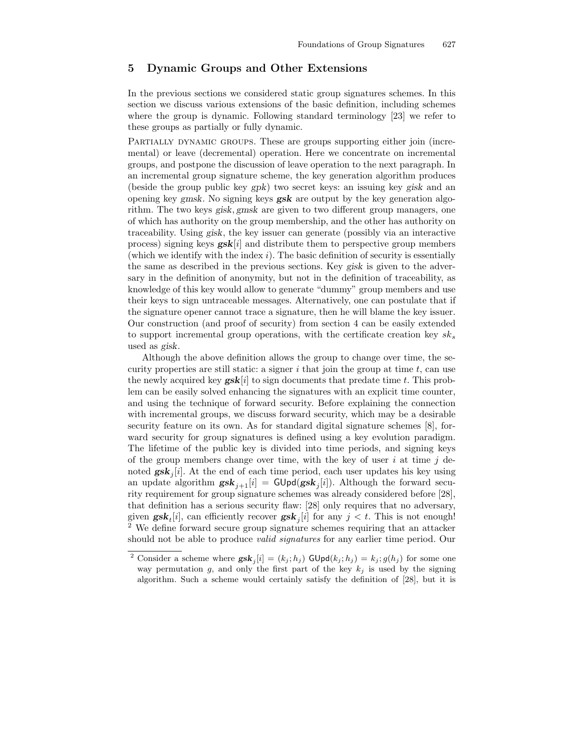#### 5 Dynamic Groups and Other Extensions

In the previous sections we considered static group signatures schemes. In this section we discuss various extensions of the basic definition, including schemes where the group is dynamic. Following standard terminology [23] we refer to these groups as partially or fully dynamic.

PARTIALLY DYNAMIC GROUPS. These are groups supporting either join (incremental) or leave (decremental) operation. Here we concentrate on incremental groups, and postpone the discussion of leave operation to the next paragraph. In an incremental group signature scheme, the key generation algorithm produces (beside the group public key gpk) two secret keys: an issuing key gisk and an opening key gmsk. No signing keys  $g s k$  are output by the key generation algorithm. The two keys gisk, gmsk are given to two different group managers, one of which has authority on the group membership, and the other has authority on traceability. Using gisk, the key issuer can generate (possibly via an interactive process) signing keys  $\mathbf{g} s\mathbf{k}[i]$  and distribute them to perspective group members (which we identify with the index  $i$ ). The basic definition of security is essentially the same as described in the previous sections. Key gisk is given to the adversary in the definition of anonymity, but not in the definition of traceability, as knowledge of this key would allow to generate "dummy" group members and use their keys to sign untraceable messages. Alternatively, one can postulate that if the signature opener cannot trace a signature, then he will blame the key issuer. Our construction (and proof of security) from section 4 can be easily extended to support incremental group operations, with the certificate creation key  $sk_s$ used as gisk.

Although the above definition allows the group to change over time, the security properties are still static: a signer  $i$  that join the group at time  $t$ , can use the newly acquired key  $\mathbf{g} s\mathbf{k}[i]$  to sign documents that predate time t. This problem can be easily solved enhancing the signatures with an explicit time counter, and using the technique of forward security. Before explaining the connection with incremental groups, we discuss forward security, which may be a desirable security feature on its own. As for standard digital signature schemes [8], forward security for group signatures is defined using a key evolution paradigm. The lifetime of the public key is divided into time periods, and signing keys of the group members change over time, with the key of user  $i$  at time  $j$  denoted  $g s k_j[i]$ . At the end of each time period, each user updates his key using an update algorithm  $gsk_{j+1}[i] = \text{GUpd}(gsk_j[i])$ . Although the forward security requirement for group signature schemes was already considered before [28], that definition has a serious security flaw: [28] only requires that no adversary, given  $\mathbf{g} s \mathbf{k}_t[i]$ , can efficiently recover  $\mathbf{g} s \mathbf{k}_j[i]$  for any  $j < t$ . This is not enough!  $\frac{2}{3}$  We define forward secure group signature schemes requiring that an attacker should not be able to produce *valid signatures* for any earlier time period. Our

<sup>&</sup>lt;sup>2</sup> Consider a scheme where  $\mathbf{gsk}_j[i] = (k_j; h_j)$  GUpd $(k_j; h_j) = k_j; g(h_j)$  for some one way permutation g, and only the first part of the key  $k_j$  is used by the signing algorithm. Such a scheme would certainly satisfy the definition of [28], but it is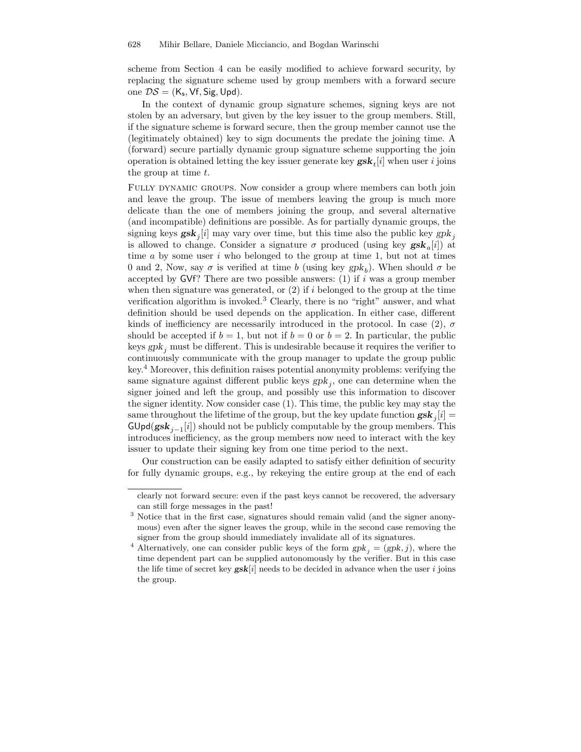scheme from Section 4 can be easily modified to achieve forward security, by replacing the signature scheme used by group members with a forward secure one  $\mathcal{DS} = (\mathsf{K}_{\mathsf{s}}, \mathsf{Vf}, \mathsf{Sig}, \mathsf{Upd}).$ 

In the context of dynamic group signature schemes, signing keys are not stolen by an adversary, but given by the key issuer to the group members. Still, if the signature scheme is forward secure, then the group member cannot use the (legitimately obtained) key to sign documents the predate the joining time. A (forward) secure partially dynamic group signature scheme supporting the join operation is obtained letting the key issuer generate key  $\mathbf{g} s \mathbf{k}_{t}[i]$  when user *i* joins the group at time t.

FULLY DYNAMIC GROUPS. Now consider a group where members can both join and leave the group. The issue of members leaving the group is much more delicate than the one of members joining the group, and several alternative (and incompatible) definitions are possible. As for partially dynamic groups, the signing keys  $\mathbf{g} s \mathbf{k}_j[i]$  may vary over time, but this time also the public key  $\mathbf{g} p \mathbf{k}_j$ is allowed to change. Consider a signature  $\sigma$  produced (using key  $gsk_a[i]$ ) at time  $a$  by some user  $i$  who belonged to the group at time 1, but not at times 0 and 2, Now, say  $\sigma$  is verified at time b (using key gp $k_b$ ). When should  $\sigma$  be accepted by GVf? There are two possible answers: (1) if  $i$  was a group member when then signature was generated, or  $(2)$  if i belonged to the group at the time verification algorithm is invoked.<sup>3</sup> Clearly, there is no "right" answer, and what definition should be used depends on the application. In either case, different kinds of inefficiency are necessarily introduced in the protocol. In case (2),  $\sigma$ should be accepted if  $b = 1$ , but not if  $b = 0$  or  $b = 2$ . In particular, the public keys  $g p k_j$  must be different. This is undesirable because it requires the verifier to continuously communicate with the group manager to update the group public key. <sup>4</sup> Moreover, this definition raises potential anonymity problems: verifying the same signature against different public keys  $gpk_j$ , one can determine when the signer joined and left the group, and possibly use this information to discover the signer identity. Now consider case (1). This time, the public key may stay the same throughout the lifetime of the group, but the key update function  $\mathbf{g} s \mathbf{k}_{j}[i] =$  $\mathsf{GUpd}(gsk_{j-1}[i])$  should not be publicly computable by the group members. This introduces inefficiency, as the group members now need to interact with the key issuer to update their signing key from one time period to the next.

Our construction can be easily adapted to satisfy either definition of security for fully dynamic groups, e.g., by rekeying the entire group at the end of each

clearly not forward secure: even if the past keys cannot be recovered, the adversary can still forge messages in the past!

<sup>&</sup>lt;sup>3</sup> Notice that in the first case, signatures should remain valid (and the signer anonymous) even after the signer leaves the group, while in the second case removing the signer from the group should immediately invalidate all of its signatures.

<sup>&</sup>lt;sup>4</sup> Alternatively, one can consider public keys of the form  $gpk_j = (gpk, j)$ , where the time dependent part can be supplied autonomously by the verifier. But in this case the life time of secret key  $\mathbf{g} s\mathbf{k}[i]$  needs to be decided in advance when the user i joins the group.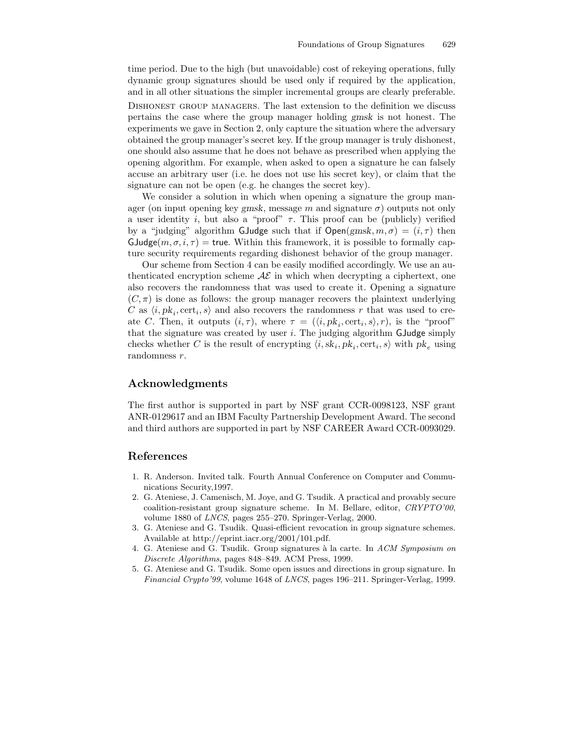time period. Due to the high (but unavoidable) cost of rekeying operations, fully dynamic group signatures should be used only if required by the application, and in all other situations the simpler incremental groups are clearly preferable.

Dishonest group managers. The last extension to the definition we discuss pertains the case where the group manager holding gmsk is not honest. The experiments we gave in Section 2, only capture the situation where the adversary obtained the group manager's secret key. If the group manager is truly dishonest, one should also assume that he does not behave as prescribed when applying the opening algorithm. For example, when asked to open a signature he can falsely accuse an arbitrary user (i.e. he does not use his secret key), or claim that the signature can not be open (e.g. he changes the secret key).

We consider a solution in which when opening a signature the group manager (on input opening key gmsk, message m and signature  $\sigma$ ) outputs not only a user identity i, but also a "proof"  $\tau$ . This proof can be (publicly) verified by a "judging" algorithm GJudge such that if  $Open(gmsk, m, \sigma) = (i, \tau)$  then  $GJude(m, \sigma, i, \tau) =$  true. Within this framework, it is possible to formally capture security requirements regarding dishonest behavior of the group manager.

Our scheme from Section 4 can be easily modified accordingly. We use an authenticated encryption scheme  $A\mathcal{E}$  in which when decrypting a ciphertext, one also recovers the randomness that was used to create it. Opening a signature  $(C, \pi)$  is done as follows: the group manager recovers the plaintext underlying C as  $\langle i, p k_i, \text{cert}_i, s \rangle$  and also recovers the randomness r that was used to create C. Then, it outputs  $(i, \tau)$ , where  $\tau = (\langle i, pk_i, cert_i, s \rangle, r)$ , is the "proof" that the signature was created by user  $i$ . The judging algorithm GJudge simply checks whether C is the result of encrypting  $\langle i, sk_i, pk_i, cert_i, s \rangle$  with  $pk_e$  using randomness  $r$ .

#### Acknowledgments

The first author is supported in part by NSF grant CCR-0098123, NSF grant ANR-0129617 and an IBM Faculty Partnership Development Award. The second and third authors are supported in part by NSF CAREER Award CCR-0093029.

### References

- 1. R. Anderson. Invited talk. Fourth Annual Conference on Computer and Communications Security,1997.
- 2. G. Ateniese, J. Camenisch, M. Joye, and G. Tsudik. A practical and provably secure coalition-resistant group signature scheme. In M. Bellare, editor, CRYPTO'00, volume 1880 of LNCS, pages 255–270. Springer-Verlag, 2000.
- 3. G. Ateniese and G. Tsudik. Quasi-efficient revocation in group signature schemes. Available at http://eprint.iacr.org/2001/101.pdf.
- 4. G. Ateniese and G. Tsudik. Group signatures à la carte. In ACM Symposium on Discrete Algorithms, pages 848–849. ACM Press, 1999.
- 5. G. Ateniese and G. Tsudik. Some open issues and directions in group signature. In Financial Crypto'99, volume 1648 of LNCS, pages 196–211. Springer-Verlag, 1999.